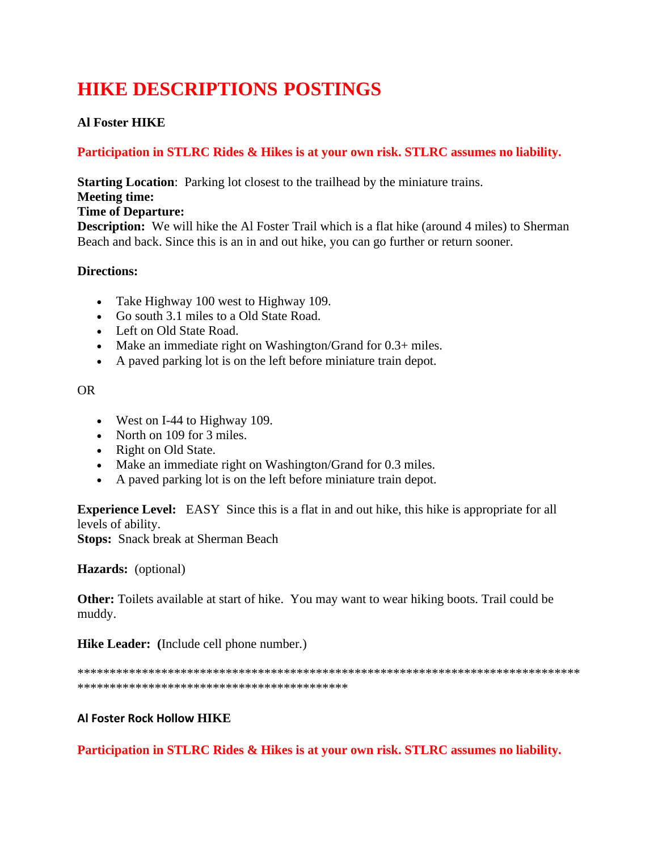# **HIKE DESCRIPTIONS POSTINGS**

# **Al Foster HIKE**

# **Participation in STLRC Rides & Hikes is at your own risk. STLRC assumes no liability.**

**Starting Location:** Parking lot closest to the trailhead by the miniature trains.

**Meeting time:**

## **Time of Departure:**

**Description:** We will hike the Al Foster Trail which is a flat hike (around 4 miles) to Sherman Beach and back. Since this is an in and out hike, you can go further or return sooner.

# **Directions:**

- Take Highway 100 west to Highway 109.
- Go south 3.1 miles to a Old State Road.
- Left on Old State Road.
- Make an immediate right on Washington/Grand for 0.3+ miles.
- A paved parking lot is on the left before miniature train depot.

# OR

- West on I-44 to Highway 109.
- North on 109 for 3 miles.
- Right on Old State.
- Make an immediate right on Washington/Grand for 0.3 miles.
- A paved parking lot is on the left before miniature train depot.

**Experience Level:** EASY Since this is a flat in and out hike, this hike is appropriate for all levels of ability.

**Stops:** Snack break at Sherman Beach

**Hazards:** (optional)

**Other:** Toilets available at start of hike. You may want to wear hiking boots. Trail could be muddy.

**Hike Leader: (**Include cell phone number.)

\*\*\*\*\*\*\*\*\*\*\*\*\*\*\*\*\*\*\*\*\*\*\*\*\*\*\*\*\*\*\*\*\*\*\*\*\*\*\*\*\*\*\*\*\*\*\*\*\*\*\*\*\*\*\*\*\*\*\*\*\*\*\*\*\*\*\*\*\*\*\*\*\*\*\*\*\*\* \*\*\*\*\*\*\*\*\*\*\*\*\*\*\*\*\*\*\*\*\*\*\*\*\*\*\*\*\*\*\*\*\*\*\*\*\*\*\*\*\*\*

# **Al Foster Rock Hollow HIKE**

**Participation in STLRC Rides & Hikes is at your own risk. STLRC assumes no liability.**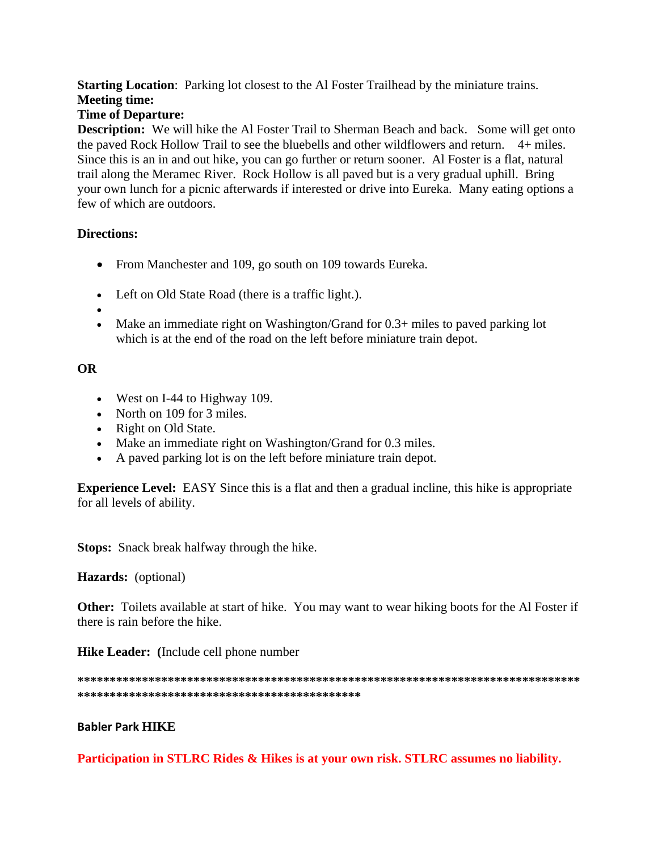## **Starting Location:** Parking lot closest to the Al Foster Trailhead by the miniature trains. **Meeting time:**

# **Time of Departure:**

Description: We will hike the Al Foster Trail to Sherman Beach and back. Some will get onto the paved Rock Hollow Trail to see the bluebells and other wildflowers and return. 4+ miles. Since this is an in and out hike, you can go further or return sooner. Al Foster is a flat, natural trail along the Meramec River. Rock Hollow is all paved but is a very gradual uphill. Bring your own lunch for a picnic afterwards if interested or drive into Eureka. Many eating options a few of which are outdoors.

## **Directions:**

- From Manchester and 109, go south on 109 towards Eureka.
- Left on Old State Road (there is a traffic light.).
- 
- Make an immediate right on Washington/Grand for  $0.3+$  miles to paved parking lot which is at the end of the road on the left before miniature train depot.

## **OR**

- West on I-44 to Highway 109.
- North on 109 for 3 miles.
- Right on Old State.
- Make an immediate right on Washington/Grand for 0.3 miles.
- A paved parking lot is on the left before miniature train depot.

**Experience Level:** EASY Since this is a flat and then a gradual incline, this hike is appropriate for all levels of ability.

**Stops:** Snack break halfway through the hike.

Hazards: (optional)

**Other:** Toilets available at start of hike. You may want to wear hiking boots for the Al Foster if there is rain before the hike.

**Hike Leader:** (Include cell phone number)

## **Babler Park HIKE**

Participation in STLRC Rides & Hikes is at your own risk. STLRC assumes no liability.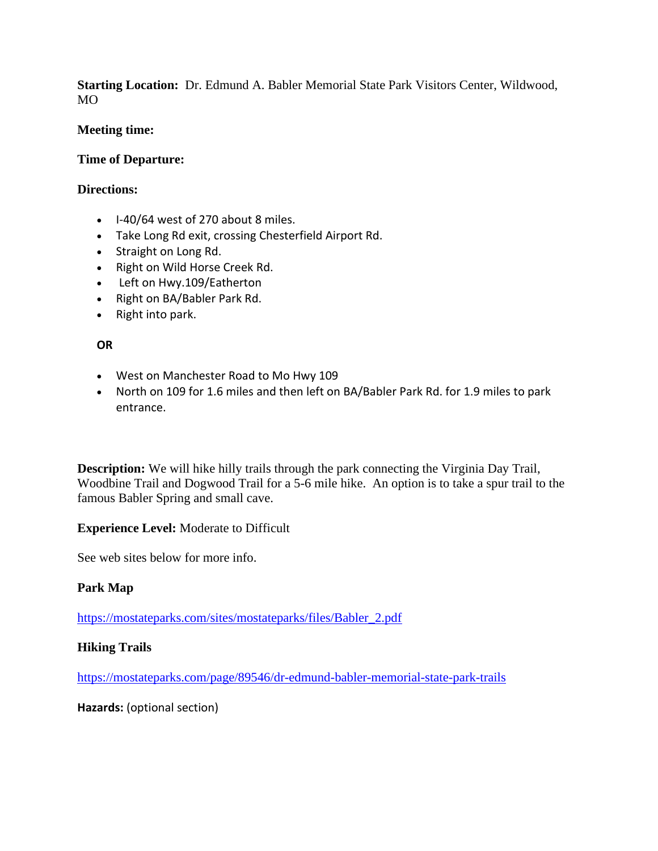**Starting Location:** Dr. Edmund A. Babler Memorial State Park Visitors Center, Wildwood,  $MO$ 

## **Meeting time:**

## **Time of Departure:**

## **Directions:**

- I-40/64 west of 270 about 8 miles.
- Take Long Rd exit, crossing Chesterfield Airport Rd.
- Straight on Long Rd.
- Right on Wild Horse Creek Rd.
- Left on Hwy.109/Eatherton
- Right on BA/Babler Park Rd.
- Right into park.

## **OR**

- West on Manchester Road to Mo Hwy 109
- North on 109 for 1.6 miles and then left on BA/Babler Park Rd. for 1.9 miles to park entrance.

**Description:** We will hike hilly trails through the park connecting the Virginia Day Trail, Woodbine Trail and Dogwood Trail for a 5-6 mile hike. An option is to take a spur trail to the famous Babler Spring and small cave.

# **Experience Level:** Moderate to Difficult

See web sites below for more info.

# **Park Map**

[https://mostateparks.com/sites/mostateparks/files/Babler\\_2.pdf](https://na01.safelinks.protection.outlook.com/?url=https%3A%2F%2Fmostateparks.com%2Fsites%2Fmostateparks%2Ffiles%2FBabler_2.pdf&data=04%7C01%7C%7Cfe3079b4aab040060b4208d8c30e0963%7C84df9e7fe9f640afb435aaaaaaaaaaaa%7C1%7C0%7C637473812332923332%7CUnknown%7CTWFpbGZsb3d8eyJWIjoiMC4wLjAwMDAiLCJQIjoiV2luMzIiLCJBTiI6Ik1haWwiLCJXVCI6Mn0%3D%7C1000&sdata=KyazQSFac8RT0QsqMsXVNlUeoyO26DazVM4cVAFqahU%3D&reserved=0)

# **Hiking Trails**

[https://mostateparks.com/page/89546/dr-edmund-babler-memorial-state-park-trails](https://na01.safelinks.protection.outlook.com/?url=https%3A%2F%2Fmostateparks.com%2Fpage%2F89546%2Fdr-edmund-babler-memorial-state-park-trails&data=04%7C01%7C%7Cfe3079b4aab040060b4208d8c30e0963%7C84df9e7fe9f640afb435aaaaaaaaaaaa%7C1%7C0%7C637473812332933335%7CUnknown%7CTWFpbGZsb3d8eyJWIjoiMC4wLjAwMDAiLCJQIjoiV2luMzIiLCJBTiI6Ik1haWwiLCJXVCI6Mn0%3D%7C1000&sdata=dGa6Fc%2BXX2sJXbJypL9Pp2javkTsi6hE4EhRYZyIBHw%3D&reserved=0)

**Hazards:** (optional section)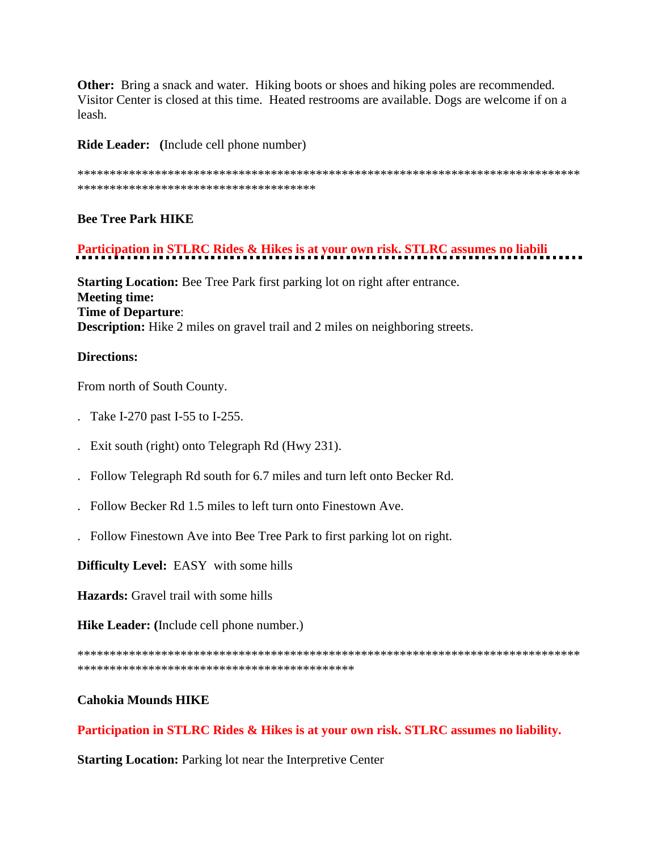Other: Bring a snack and water. Hiking boots or shoes and hiking poles are recommended. Visitor Center is closed at this time. Heated restrooms are available. Dogs are welcome if on a leash.

**Ride Leader:** (Include cell phone number)

\*\*\*\*\*\*\*\*\*\*\*\*\*\*\*\*\*\*\*\*\*\*\*\*\*\*\*\*\*\*\*\*\*\*\*\*\*

## **Bee Tree Park HIKE**

# Participation in STLRC Rides & Hikes is at your own risk. STLRC assumes no liabili

**Starting Location:** Bee Tree Park first parking lot on right after entrance. **Meeting time: Time of Departure: Description:** Hike 2 miles on gravel trail and 2 miles on neighboring streets.

## **Directions:**

From north of South County.

- . Take I-270 past I-55 to I-255.
- . Exit south (right) onto Telegraph Rd (Hwy 231).
- . Follow Telegraph Rd south for 6.7 miles and turn left onto Becker Rd.
- $\mathcal{L}$  Follow Becker Rd 1.5 miles to left turn onto Finestown Ave.
- . Follow Finestown Ave into Bee Tree Park to first parking lot on right.

**Difficulty Level:** EASY with some hills

**Hazards:** Gravel trail with some hills

**Hike Leader:** (Include cell phone number.)

## **Cahokia Mounds HIKE**

Participation in STLRC Rides & Hikes is at your own risk. STLRC assumes no liability.

**Starting Location:** Parking lot near the Interpretive Center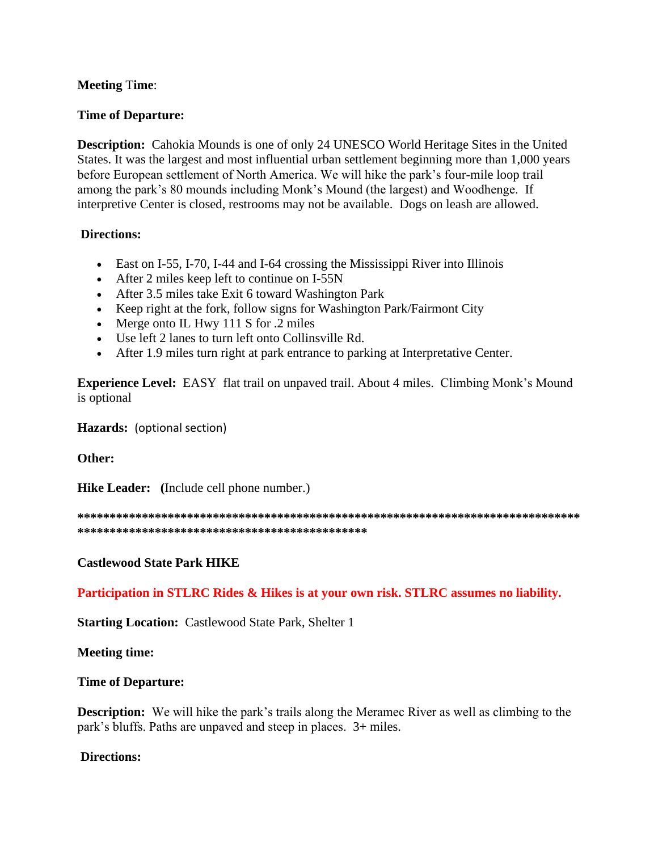## **Meeting** T**ime**:

## **Time of Departure:**

**Description:** Cahokia Mounds is one of only 24 UNESCO World Heritage Sites in the United States. It was the largest and most influential urban settlement beginning more than 1,000 years before European settlement of North America. We will hike the park's four-mile loop trail among the park's 80 mounds including Monk's Mound (the largest) and Woodhenge. If interpretive Center is closed, restrooms may not be available. Dogs on leash are allowed.

## **Directions:**

- East on I-55, I-70, I-44 and I-64 crossing the Mississippi River into Illinois
- After 2 miles keep left to continue on I-55N
- After 3.5 miles take Exit 6 toward Washington Park
- Keep right at the fork, follow signs for Washington Park/Fairmont City
- Merge onto IL Hwy 111 S for .2 miles
- Use left 2 lanes to turn left onto Collinsville Rd.
- After 1.9 miles turn right at park entrance to parking at Interpretative Center.

**Experience Level:** EASY flat trail on unpaved trail. About 4 miles. Climbing Monk's Mound is optional

**Hazards:** (optional section)

**Other:**

**Hike Leader: (**Include cell phone number.)

**\*\*\*\*\*\*\*\*\*\*\*\*\*\*\*\*\*\*\*\*\*\*\*\*\*\*\*\*\*\*\*\*\*\*\*\*\*\*\*\*\*\*\*\*\*\*\*\*\*\*\*\*\*\*\*\*\*\*\*\*\*\*\*\*\*\*\*\*\*\*\*\*\*\*\*\*\*\* \*\*\*\*\*\*\*\*\*\*\*\*\*\*\*\*\*\*\*\*\*\*\*\*\*\*\*\*\*\*\*\*\*\*\*\*\*\*\*\*\*\*\*\*\***

**Castlewood State Park HIKE**

**Participation in STLRC Rides & Hikes is at your own risk. STLRC assumes no liability.**

**Starting Location:** Castlewood State Park, Shelter 1

**Meeting time:** 

#### **Time of Departure:**

**Description:** We will hike the park's trails along the Meramec River as well as climbing to the park's bluffs. Paths are unpaved and steep in places. 3+ miles.

**Directions:**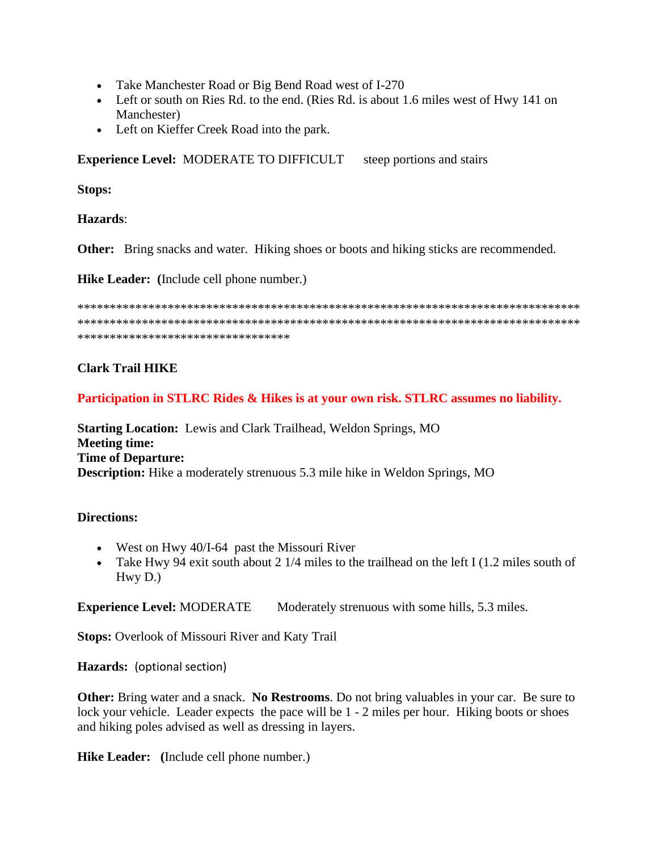- Take Manchester Road or Big Bend Road west of I-270
- Left or south on Ries Rd. to the end. (Ries Rd. is about 1.6 miles west of Hwy 141 on Manchester)
- Left on Kieffer Creek Road into the park.

**Experience Level: MODERATE TO DIFFICULT** steep portions and stairs

**Stops:** 

Hazards:

**Other:** Bring snacks and water. Hiking shoes or boots and hiking sticks are recommended.

Hike Leader: (Include cell phone number.)

\*\*\*\*\*\*\*\*\*\*\*\*\*\*\*\*\*\*\*\*\*\*\*\*\*\*\*\*\*\*\*\*\*

## **Clark Trail HIKE**

Participation in STLRC Rides & Hikes is at your own risk. STLRC assumes no liability.

**Starting Location:** Lewis and Clark Trailhead, Weldon Springs, MO **Meeting time: Time of Departure: Description:** Hike a moderately strenuous 5.3 mile hike in Weldon Springs, MO

## **Directions:**

- West on Hwy  $40/1-64$  past the Missouri River
- Take Hwy 94 exit south about 2 1/4 miles to the trailhead on the left I (1.2 miles south of  $Hwv D.$

**Experience Level: MODERATE** Moderately strenuous with some hills, 5.3 miles.

**Stops:** Overlook of Missouri River and Katy Trail

Hazards: (optional section)

**Other:** Bring water and a snack. No Restrooms. Do not bring valuables in your car. Be sure to lock your vehicle. Leader expects the pace will be 1 - 2 miles per hour. Hiking boots or shoes and hiking poles advised as well as dressing in layers.

Hike Leader: (Include cell phone number.)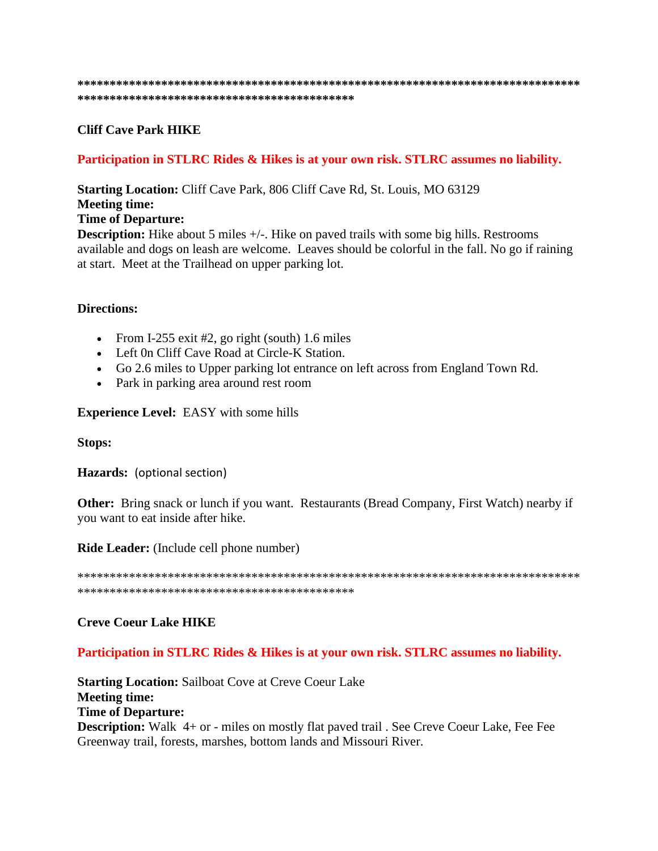# **Cliff Cave Park HIKE**

# Participation in STLRC Rides & Hikes is at your own risk. STLRC assumes no liability.

**Starting Location:** Cliff Cave Park, 806 Cliff Cave Rd, St. Louis, MO 63129 **Meeting time:** 

## **Time of Departure:**

**Description:** Hike about 5 miles +/-. Hike on paved trails with some big hills. Restrooms available and dogs on leash are welcome. Leaves should be colorful in the fall. No go if raining at start. Meet at the Trailhead on upper parking lot.

## **Directions:**

- From I-255 exit #2, go right (south) 1.6 miles
- Left On Cliff Cave Road at Circle-K Station.
- Go 2.6 miles to Upper parking lot entrance on left across from England Town Rd.
- Park in parking area around rest room

## **Experience Level: EASY with some hills**

## **Stops:**

Hazards: (optional section)

**Other:** Bring snack or lunch if you want. Restaurants (Bread Company, First Watch) nearby if you want to eat inside after hike.

Ride Leader: (Include cell phone number)

# **Creve Coeur Lake HIKE**

# Participation in STLRC Rides & Hikes is at your own risk. STLRC assumes no liability.

**Starting Location: Sailboat Cove at Creve Coeur Lake Meeting time: Time of Departure: Description:** Walk 4+ or - miles on mostly flat paved trail. See Creve Coeur Lake, Fee Fee Greenway trail, forests, marshes, bottom lands and Missouri River.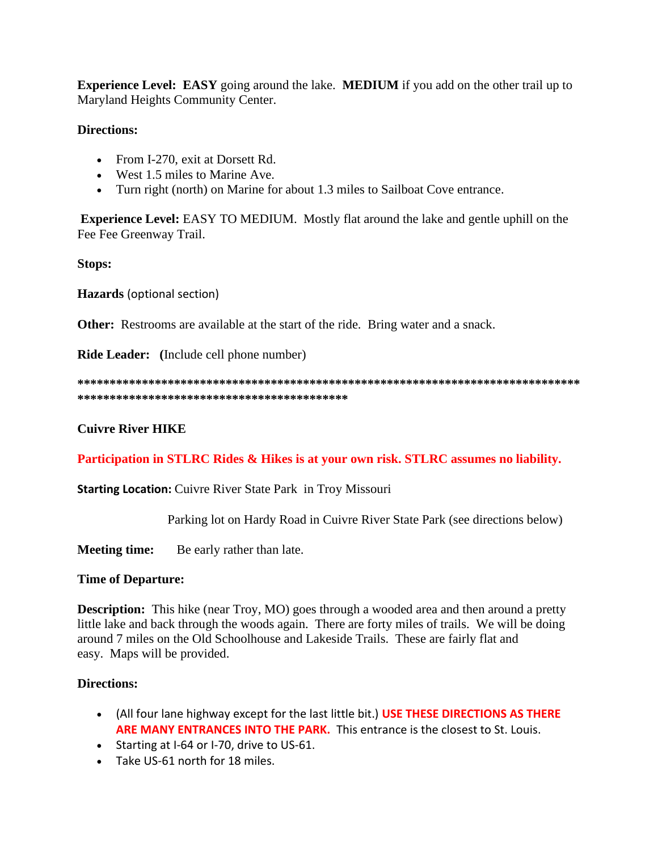**Experience Level: EASY** going around the lake. **MEDIUM** if you add on the other trail up to Maryland Heights Community Center.

## **Directions:**

- From I-270, exit at Dorsett Rd.
- West 1.5 miles to Marine Ave.
- Turn right (north) on Marine for about 1.3 miles to Sailboat Cove entrance.

**Experience Level:** EASY TO MEDIUM. Mostly flat around the lake and gentle uphill on the Fee Fee Greenway Trail.

**Stops:**

**Hazards** (optional section)

**Other:** Restrooms are available at the start of the ride. Bring water and a snack.

**Ride Leader: (**Include cell phone number)

**\*\*\*\*\*\*\*\*\*\*\*\*\*\*\*\*\*\*\*\*\*\*\*\*\*\*\*\*\*\*\*\*\*\*\*\*\*\*\*\*\*\*\*\*\*\*\*\*\*\*\*\*\*\*\*\*\*\*\*\*\*\*\*\*\*\*\*\*\*\*\*\*\*\*\*\*\*\* \*\*\*\*\*\*\*\*\*\*\*\*\*\*\*\*\*\*\*\*\*\*\*\*\*\*\*\*\*\*\*\*\*\*\*\*\*\*\*\*\*\***

**Cuivre River HIKE**

**Participation in STLRC Rides & Hikes is at your own risk. STLRC assumes no liability.**

**Starting Location:** Cuivre River State Park in Troy Missouri

Parking lot on Hardy Road in Cuivre River State Park (see directions below)

**Meeting time:** Be early rather than late.

## **Time of Departure:**

**Description:** This hike (near Troy, MO) goes through a wooded area and then around a pretty little lake and back through the woods again. There are forty miles of trails. We will be doing around 7 miles on the Old Schoolhouse and Lakeside Trails. These are fairly flat and easy. Maps will be provided.

## **Directions:**

- (All four lane highway except for the last little bit.) **USE THESE DIRECTIONS AS THERE ARE MANY ENTRANCES INTO THE PARK.** This entrance is the closest to St. Louis.
- Starting at I-64 or I-70, drive to US-61.
- Take US-61 north for 18 miles.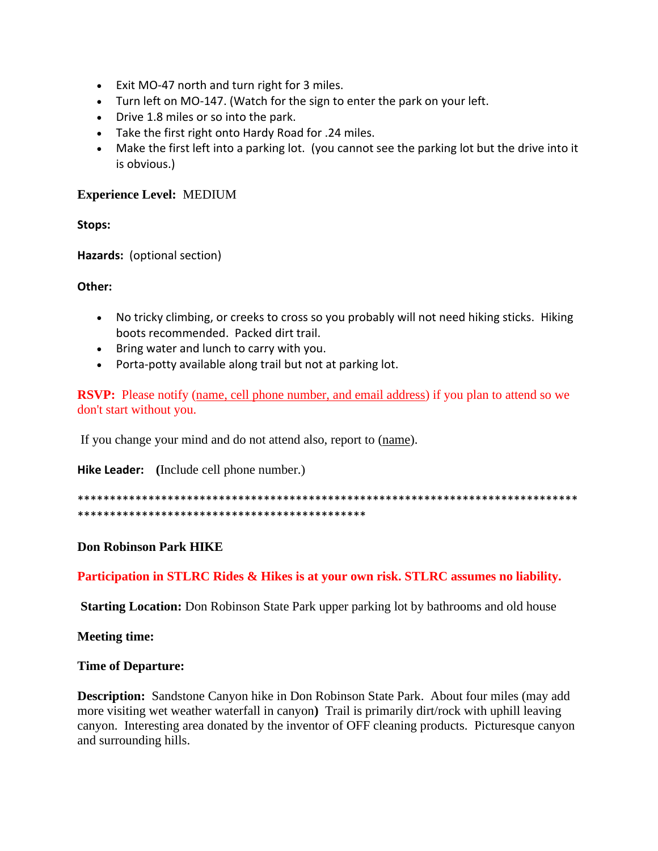- Exit MO-47 north and turn right for 3 miles.
- Turn left on MO-147. (Watch for the sign to enter the park on your left.
- Drive 1.8 miles or so into the park.
- Take the first right onto Hardy Road for .24 miles.
- Make the first left into a parking lot. (you cannot see the parking lot but the drive into it is obvious.)

## **Experience Level:** MEDIUM

**Stops:**

**Hazards:** (optional section)

## **Other:**

- No tricky climbing, or creeks to cross so you probably will not need hiking sticks. Hiking boots recommended. Packed dirt trail.
- Bring water and lunch to carry with you.
- Porta-potty available along trail but not at parking lot.

**RSVP:** Please notify (name, cell phone number, and email address) if you plan to attend so we don't start without you.

If you change your mind and do not attend also, report to (name).

**Hike Leader: (**Include cell phone number.)

\*\*\*\*\*\*\*\*\*\*\*\*\*\*\*\*\*\*\*\*\*\*\*\*\*\*\*\*\*\*\*\*\*\*\*\*\*\*\*\*\*\*\*\*\*\*\*\*\*\*\*\*\*\*\*\*\*\*\*\*\*\*\*\*\*\*\*\*\*\*\*\*\*\*\*\*\*\* \*\*\*\*\*\*\*\*\*\*\*\*\*\*\*\*\*\*\*\*\*\*\*\*\*\*\*\*\*\*\*\*\*\*\*\*\*\*\*\*\*\*\*\*\*

**Don Robinson Park HIKE**

**Participation in STLRC Rides & Hikes is at your own risk. STLRC assumes no liability.**

**Starting Location:** Don Robinson State Park upper parking lot by bathrooms and old house

**Meeting time:** 

#### **Time of Departure:**

**Description:** Sandstone Canyon hike in Don Robinson State Park. About four miles (may add more visiting wet weather waterfall in canyon**)** Trail is primarily dirt/rock with uphill leaving canyon. Interesting area donated by the inventor of OFF cleaning products. Picturesque canyon and surrounding hills.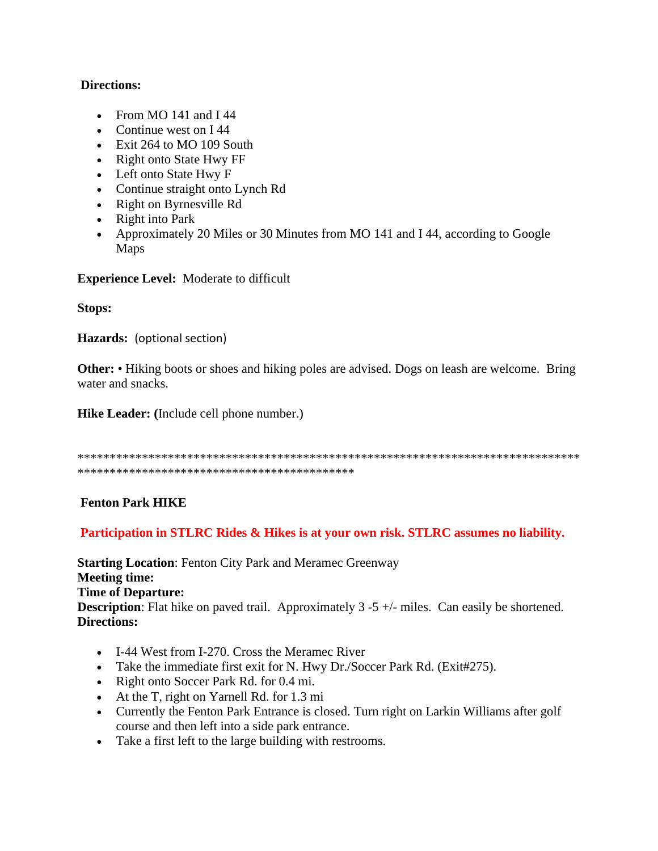## **Directions:**

- From MO 141 and I 44
- Continue west on I44
- Exit 264 to MO 109 South
- Right onto State Hwy FF
- Left onto State Hwy F
- Continue straight onto Lynch Rd
- Right on Byrnesville Rd
- Right into Park
- Approximately 20 Miles or 30 Minutes from MO 141 and I 44, according to Google Maps

**Experience Level:** Moderate to difficult

**Stops:**

**Hazards:** (optional section)

**Other:** • Hiking boots or shoes and hiking poles are advised. Dogs on leash are welcome. Bring water and snacks.

**Hike Leader: (**Include cell phone number.)

```
******************************************************************************
*******************************************
```
# **Fenton Park HIKE**

## **Participation in STLRC Rides & Hikes is at your own risk. STLRC assumes no liability.**

**Starting Location: Fenton City Park and Meramec Greenway Meeting time: Time of Departure: Description**: Flat hike on paved trail. Approximately 3 -5 +/- miles. Can easily be shortened. **Directions:**

- I-44 West from I-270. Cross the Meramec River
- Take the immediate first exit for N. Hwy Dr./Soccer Park Rd. (Exit#275).
- Right onto Soccer Park Rd. for 0.4 mi.
- At the T, right on Yarnell Rd. for 1.3 mi
- Currently the Fenton Park Entrance is closed. Turn right on Larkin Williams after golf course and then left into a side park entrance.
- Take a first left to the large building with restrooms.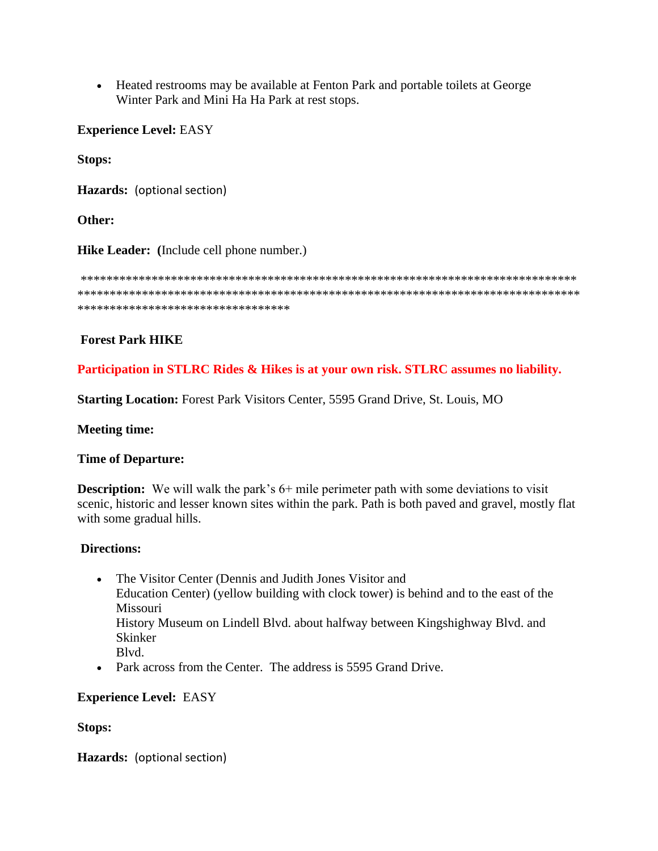• Heated restrooms may be available at Fenton Park and portable toilets at George Winter Park and Mini Ha Ha Park at rest stops.

**Experience Level:** EASY

**Stops:**

**Hazards:** (optional section)

**Other:**

**Hike Leader: (**Include cell phone number.)

\*\*\*\*\*\*\*\*\*\*\*\*\*\*\*\*\*\*\*\*\*\*\*\*\*\*\*\*\*\*\*\*\*\*\*\*\*\*\*\*\*\*\*\*\*\*\*\*\*\*\*\*\*\*\*\*\*\*\*\*\*\*\*\*\*\*\*\*\*\*\*\*\*\*\*\*\* \*\*\*\*\*\*\*\*\*\*\*\*\*\*\*\*\*\*\*\*\*\*\*\*\*\*\*\*\*\*\*\*\*\*\*\*\*\*\*\*\*\*\*\*\*\*\*\*\*\*\*\*\*\*\*\*\*\*\*\*\*\*\*\*\*\*\*\*\*\*\*\*\*\*\*\*\*\* \*\*\*\*\*\*\*\*\*\*\*\*\*\*\*\*\*\*\*\*\*\*\*\*\*\*\*\*\*\*\*\*\*

## **Forest Park HIKE**

**Participation in STLRC Rides & Hikes is at your own risk. STLRC assumes no liability.**

**Starting Location:** Forest Park Visitors Center, 5595 Grand Drive, St. Louis, MO

**Meeting time:**

## **Time of Departure:**

**Description:** We will walk the park's 6+ mile perimeter path with some deviations to visit scenic, historic and lesser known sites within the park. Path is both paved and gravel, mostly flat with some gradual hills.

## **Directions:**

- The Visitor Center (Dennis and Judith Jones Visitor and Education Center) (yellow building with clock tower) is behind and to the east of the Missouri History Museum on Lindell Blvd. about halfway between Kingshighway Blvd. and Skinker Blvd.
- Park across from the Center. The address is 5595 Grand Drive.

## **Experience Level:** EASY

**Stops:**

**Hazards:** (optional section)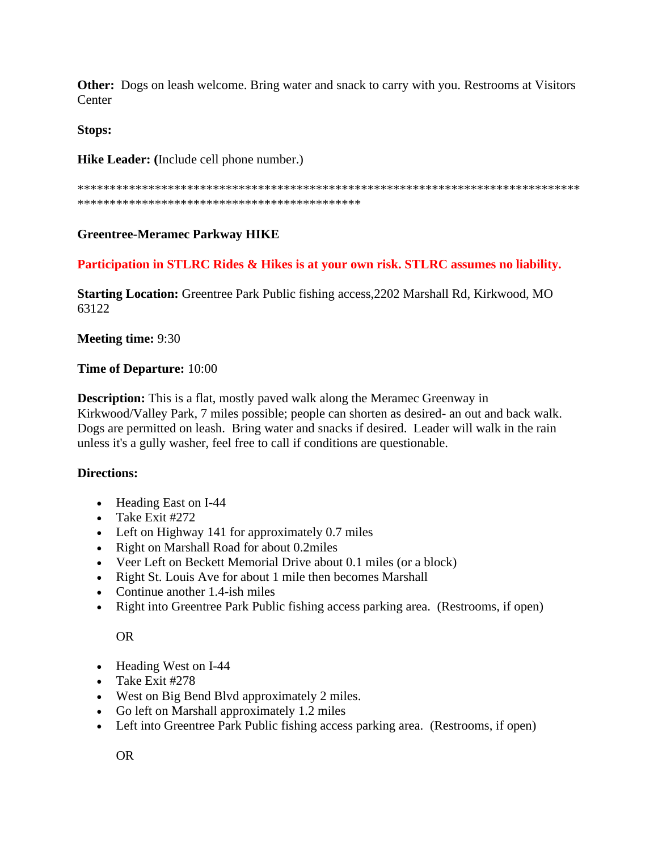**Other:** Dogs on leash welcome. Bring water and snack to carry with you. Restrooms at Visitors **Center** 

## **Stops:**

**Hike Leader: (**Include cell phone number.)

\*\*\*\*\*\*\*\*\*\*\*\*\*\*\*\*\*\*\*\*\*\*\*\*\*\*\*\*\*\*\*\*\*\*\*\*\*\*\*\*\*\*\*\*\*\*\*\*\*\*\*\*\*\*\*\*\*\*\*\*\*\*\*\*\*\*\*\*\*\*\*\*\*\*\*\*\*\* \*\*\*\*\*\*\*\*\*\*\*\*\*\*\*\*\*\*\*\*\*\*\*\*\*\*\*\*\*\*\*\*\*\*\*\*\*\*\*\*\*\*\*\*

# **Greentree-Meramec Parkway HIKE**

## **Participation in STLRC Rides & Hikes is at your own risk. STLRC assumes no liability.**

**Starting Location:** Greentree Park Public fishing access,2202 Marshall Rd, Kirkwood, MO 63122

**Meeting time:** 9:30

## **Time of Departure:** 10:00

**Description:** This is a flat, mostly paved walk along the Meramec Greenway in Kirkwood/Valley Park, 7 miles possible; people can shorten as desired- an out and back walk. Dogs are permitted on leash. Bring water and snacks if desired. Leader will walk in the rain unless it's a gully washer, feel free to call if conditions are questionable.

# **Directions:**

- Heading East on I-44
- Take Exit #272
- Left on Highway 141 for approximately 0.7 miles
- Right on Marshall Road for about 0.2miles
- Veer Left on Beckett Memorial Drive about 0.1 miles (or a block)
- Right St. Louis Ave for about 1 mile then becomes Marshall
- Continue another 1.4-ish miles
- Right into Greentree Park Public fishing access parking area. (Restrooms, if open)

OR

- Heading West on I-44
- Take Exit #278
- West on Big Bend Blvd approximately 2 miles.
- Go left on Marshall approximately 1.2 miles
- Left into Greentree Park Public fishing access parking area. (Restrooms, if open)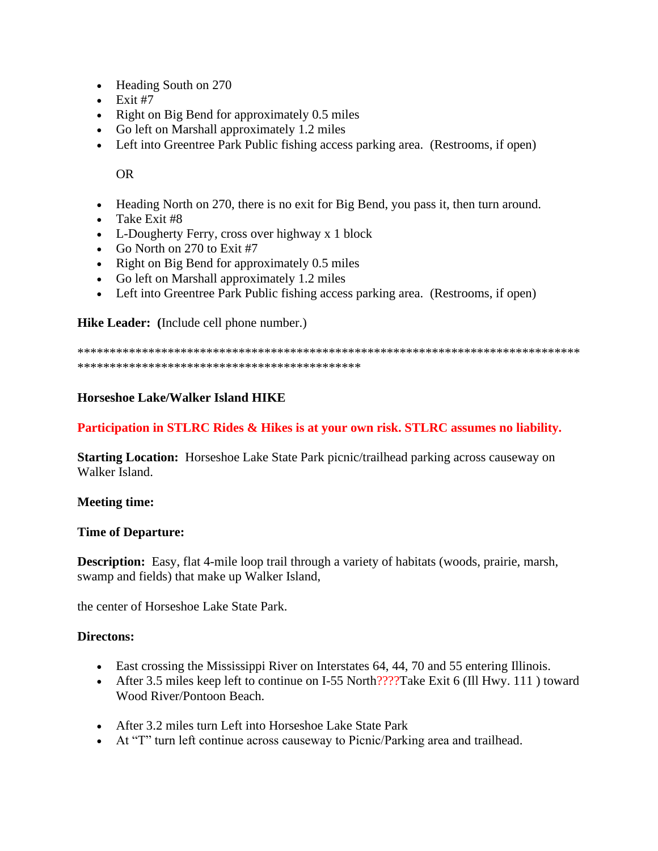- Heading South on 270
- $\bullet$  Exit #7
- Right on Big Bend for approximately 0.5 miles
- Go left on Marshall approximately 1.2 miles
- Left into Greentree Park Public fishing access parking area. (Restrooms, if open)

OR

- Heading North on 270, there is no exit for Big Bend, you pass it, then turn around.
- Take Exit #8
- L-Dougherty Ferry, cross over highway x 1 block
- Go North on 270 to Exit #7
- Right on Big Bend for approximately 0.5 miles
- Go left on Marshall approximately 1.2 miles
- Left into Greentree Park Public fishing access parking area. (Restrooms, if open)

**Hike Leader: (**Include cell phone number.)

\*\*\*\*\*\*\*\*\*\*\*\*\*\*\*\*\*\*\*\*\*\*\*\*\*\*\*\*\*\*\*\*\*\*\*\*\*\*\*\*\*\*\*\*\*\*\*\*\*\*\*\*\*\*\*\*\*\*\*\*\*\*\*\*\*\*\*\*\*\*\*\*\*\*\*\*\*\* \*\*\*\*\*\*\*\*\*\*\*\*\*\*\*\*\*\*\*\*\*\*\*\*\*\*\*\*\*\*\*\*\*\*\*\*\*\*\*\*\*\*\*\*

#### **Horseshoe Lake/Walker Island HIKE**

## **Participation in STLRC Rides & Hikes is at your own risk. STLRC assumes no liability.**

**Starting Location:** Horseshoe Lake State Park picnic/trailhead parking across causeway on Walker Island.

#### **Meeting time:**

#### **Time of Departure:**

**Description:** Easy, flat 4-mile loop trail through a variety of habitats (woods, prairie, marsh, swamp and fields) that make up Walker Island,

the center of Horseshoe Lake State Park.

#### **Directons:**

- East crossing the Mississippi River on Interstates 64, 44, 70 and 55 entering Illinois.
- After 3.5 miles keep left to continue on I-55 North????Take Exit 6 (Ill Hwy. 111) toward Wood River/Pontoon Beach.
- After 3.2 miles turn Left into Horseshoe Lake State Park
- At "T" turn left continue across causeway to Picnic/Parking area and trailhead.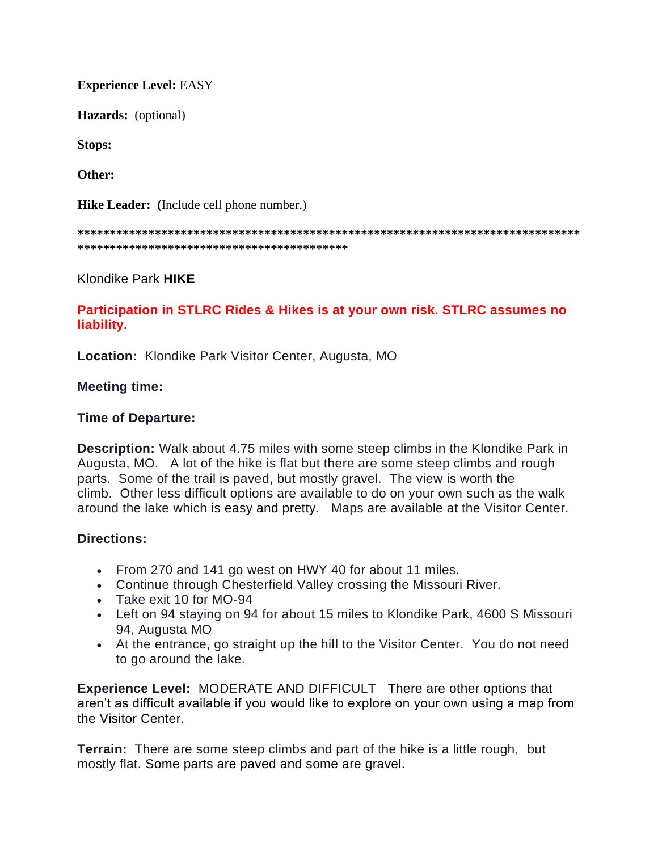**Experience Level:** EASY

**Hazards:** (optional)

**Stops:**

**Other:**

**Hike Leader: (**Include cell phone number.)

**\*\*\*\*\*\*\*\*\*\*\*\*\*\*\*\*\*\*\*\*\*\*\*\*\*\*\*\*\*\*\*\*\*\*\*\*\*\*\*\*\*\*\*\*\*\*\*\*\*\*\*\*\*\*\*\*\*\*\*\*\*\*\*\*\*\*\*\*\*\*\*\*\*\*\*\*\*\* \*\*\*\*\*\*\*\*\*\*\*\*\*\*\*\*\*\*\*\*\*\*\*\*\*\*\*\*\*\*\*\*\*\*\*\*\*\*\*\*\*\***

Klondike Park **HIKE**

**Participation in STLRC Rides & Hikes is at your own risk. STLRC assumes no liability.**

**Location:** Klondike Park Visitor Center, Augusta, MO

## **Meeting time:**

## **Time of Departure:**

**Description:** Walk about 4.75 miles with some steep climbs in the Klondike Park in Augusta, MO. A lot of the hike is flat but there are some steep climbs and rough parts. Some of the trail is paved, but mostly gravel. The view is worth the climb. Other less difficult options are available to do on your own such as the walk around the lake which is easy and pretty. Maps are available at the Visitor Center.

## **Directions:**

- From 270 and 141 go west on HWY 40 for about 11 miles.
- Continue through Chesterfield Valley crossing the Missouri River.
- Take exit 10 for MO-94
- Left on 94 staying on 94 for about 15 miles to Klondike Park, 4600 S Missouri 94, Augusta MO
- At the entrance, go straight up the hill to the Visitor Center. You do not need to go around the lake.

**Experience Level:** MODERATE AND DIFFICULT There are other options that aren't as difficult available if you would like to explore on your own using a map from the Visitor Center.

**Terrain:** There are some steep climbs and part of the hike is a little rough, but mostly flat. Some parts are paved and some are gravel.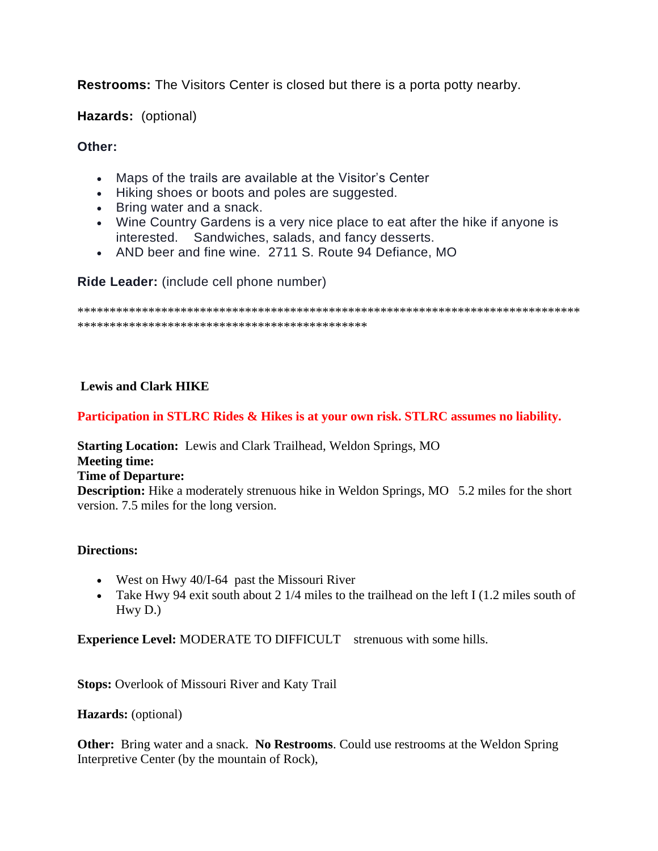**Restrooms:** The Visitors Center is closed but there is a porta potty nearby.

**Hazards:** (optional)

# **Other:**

- Maps of the trails are available at the Visitor's Center
- Hiking shoes or boots and poles are suggested.
- Bring water and a snack.
- Wine Country Gardens is a very nice place to eat after the hike if anyone is interested. Sandwiches, salads, and fancy desserts.
- AND beer and fine wine. 2711 S. Route 94 Defiance, MO

**Ride Leader:** (include cell phone number)

\*\*\*\*\*\*\*\*\*\*\*\*\*\*\*\*\*\*\*\*\*\*\*\*\*\*\*\*\*\*\*\*\*\*\*\*\*\*\*\*\*\*\*\*\*\*\*\*\*\*\*\*\*\*\*\*\*\*\*\*\*\*\*\*\*\*\*\*\*\*\*\*\*\*\*\*\*\* \*\*\*\*\*\*\*\*\*\*\*\*\*\*\*\*\*\*\*\*\*\*\*\*\*\*\*\*\*\*\*\*\*\*\*\*\*\*\*\*\*\*\*\*\*

# **Lewis and Clark HIKE**

# **Participation in STLRC Rides & Hikes is at your own risk. STLRC assumes no liability.**

**Starting Location:** Lewis and Clark Trailhead, Weldon Springs, MO **Meeting time: Time of Departure: Description:** Hike a moderately strenuous hike in Weldon Springs, MO 5.2 miles for the short version. 7.5 miles for the long version.

# **Directions:**

- West on Hwy 40/I-64 past the Missouri River
- Take Hwy 94 exit south about 2  $1/4$  miles to the trailhead on the left I (1.2 miles south of Hwy D.)

**Experience Level:** MODERATE TO DIFFICULT strenuous with some hills.

**Stops:** Overlook of Missouri River and Katy Trail

**Hazards:** (optional)

**Other:** Bring water and a snack. **No Restrooms**. Could use restrooms at the Weldon Spring Interpretive Center (by the mountain of Rock),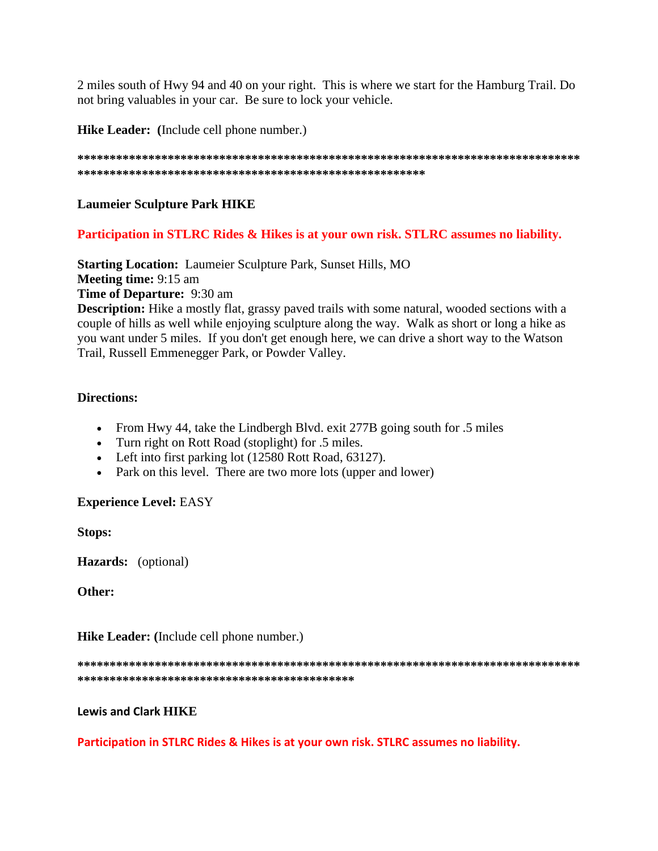2 miles south of Hwy 94 and 40 on your right. This is where we start for the Hamburg Trail. Do not bring valuables in your car. Be sure to lock your vehicle.

Hike Leader: (Include cell phone number.)

## **Laumeier Sculpture Park HIKE**

## Participation in STLRC Rides & Hikes is at your own risk. STLRC assumes no liability.

**Starting Location:** Laumeier Sculpture Park, Sunset Hills, MO **Meeting time: 9:15 am Time of Departure:** 9:30 am Description: Hike a mostly flat, grassy paved trails with some natural, wooded sections with a

couple of hills as well while enjoying sculpture along the way. Walk as short or long a hike as you want under 5 miles. If you don't get enough here, we can drive a short way to the Watson Trail, Russell Emmenegger Park, or Powder Valley.

## **Directions:**

- From Hwy 44, take the Lindbergh Blvd. exit 277B going south for .5 miles
- Turn right on Rott Road (stoplight) for .5 miles.
- Left into first parking lot (12580 Rott Road, 63127).
- Park on this level. There are two more lots (upper and lower)

## **Experience Level: EASY**

**Stops:** 

Hazards: (optional)

Other:

**Hike Leader:** (Include cell phone number.)

## **Lewis and Clark HIKE**

Participation in STLRC Rides & Hikes is at your own risk. STLRC assumes no liability.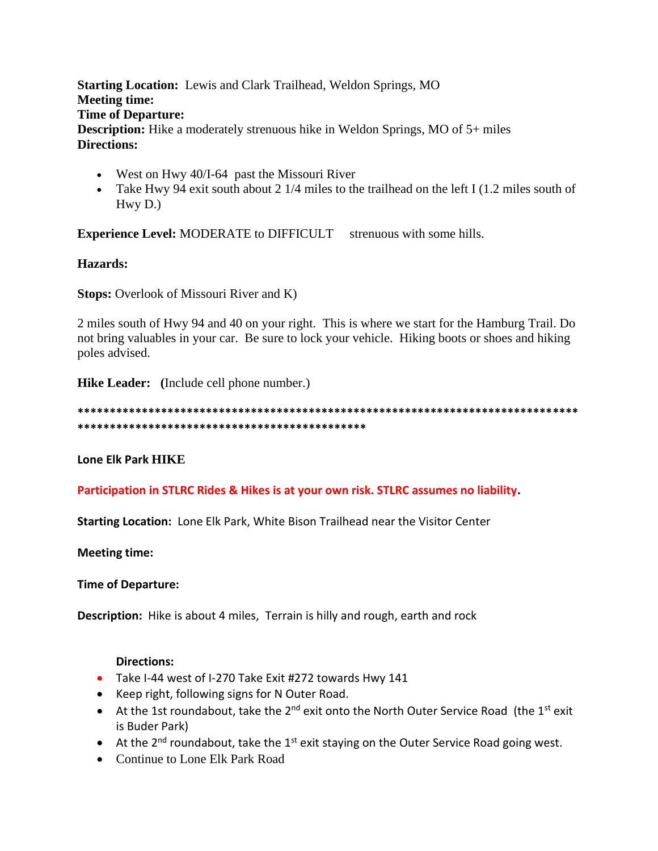**Starting Location:** Lewis and Clark Trailhead, Weldon Springs, MO **Meeting time: Time of Departure: Description:** Hike a moderately strenuous hike in Weldon Springs, MO of 5+ miles **Directions:**

- West on Hwy 40/I-64 past the Missouri River
- Take Hwy 94 exit south about 2 1/4 miles to the trailhead on the left I (1.2 miles south of Hwy D.)

**Experience Level:** MODERATE to DIFFICULT strenuous with some hills.

# **Hazards:**

**Stops:** Overlook of Missouri River and K)

2 miles south of Hwy 94 and 40 on your right. This is where we start for the Hamburg Trail. Do not bring valuables in your car. Be sure to lock your vehicle. Hiking boots or shoes and hiking poles advised.

**Hike Leader: (**Include cell phone number.)

**\*\*\*\*\*\*\*\*\*\*\*\*\*\*\*\*\*\*\*\*\*\*\*\*\*\*\*\*\*\*\*\*\*\*\*\*\*\*\*\*\*\*\*\*\*\*\*\*\*\*\*\*\*\*\*\*\*\*\*\*\*\*\*\*\*\*\*\*\*\*\*\*\*\*\*\*\*\* \*\*\*\*\*\*\*\*\*\*\*\*\*\*\*\*\*\*\*\*\*\*\*\*\*\*\*\*\*\*\*\*\*\*\*\*\*\*\*\*\*\*\*\*\***

**Lone Elk Park HIKE** 

**Participation in STLRC Rides & Hikes is at your own risk. STLRC assumes no liability.**

**Starting Location:** Lone Elk Park, White Bison Trailhead near the Visitor Center

**Meeting time:**

**Time of Departure:** 

**Description:** Hike is about 4 miles, Terrain is hilly and rough, earth and rock

## **Directions:**

- Take I-44 west of I-270 Take Exit #272 towards Hwy 141
- Keep right, following signs for N Outer Road.
- At the 1st roundabout, take the  $2^{nd}$  exit onto the North Outer Service Road (the 1<sup>st</sup> exit is Buder Park)
- At the  $2^{nd}$  roundabout, take the  $1^{st}$  exit staying on the Outer Service Road going west.
- Continue to Lone Elk Park Road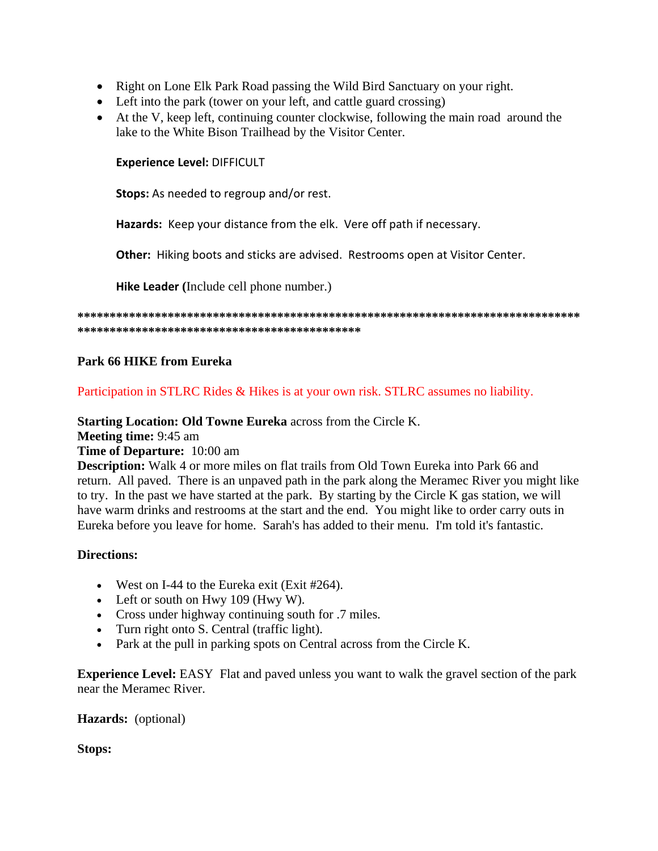- Right on Lone Elk Park Road passing the Wild Bird Sanctuary on your right.
- Left into the park (tower on your left, and cattle guard crossing)
- At the V, keep left, continuing counter clockwise, following the main road around the lake to the White Bison Trailhead by the Visitor Center.

**Experience Level:** DIFFICULT

**Stops:** As needed to regroup and/or rest.

**Hazards:** Keep your distance from the elk. Vere off path if necessary.

**Other:** Hiking boots and sticks are advised. Restrooms open at Visitor Center.

**Hike Leader (**Include cell phone number.)

**\*\*\*\*\*\*\*\*\*\*\*\*\*\*\*\*\*\*\*\*\*\*\*\*\*\*\*\*\*\*\*\*\*\*\*\*\*\*\*\*\*\*\*\*\*\*\*\*\*\*\*\*\*\*\*\*\*\*\*\*\*\*\*\*\*\*\*\*\*\*\*\*\*\*\*\*\*\* \*\*\*\*\*\*\*\*\*\*\*\*\*\*\*\*\*\*\*\*\*\*\*\*\*\*\*\*\*\*\*\*\*\*\*\*\*\*\*\*\*\*\*\***

## **Park 66 HIKE from Eureka**

Participation in STLRC Rides & Hikes is at your own risk. STLRC assumes no liability.

**Starting Location: Old Towne Eureka** across from the Circle K.

**Meeting time:** 9:45 am

## **Time of Departure:** 10:00 am

**Description:** Walk 4 or more miles on flat trails from Old Town Eureka into Park 66 and return. All paved. There is an unpaved path in the park along the Meramec River you might like to try. In the past we have started at the park. By starting by the Circle K gas station, we will have warm drinks and restrooms at the start and the end. You might like to order carry outs in Eureka before you leave for home. Sarah's has added to their menu. I'm told it's fantastic.

## **Directions:**

- West on I-44 to the Eureka exit (Exit #264).
- Left or south on Hwy 109 (Hwy W).
- Cross under highway continuing south for .7 miles.
- Turn right onto S. Central (traffic light).
- Park at the pull in parking spots on Central across from the Circle K.

**Experience Level:** EASY Flat and paved unless you want to walk the gravel section of the park near the Meramec River.

## **Hazards:** (optional)

**Stops:**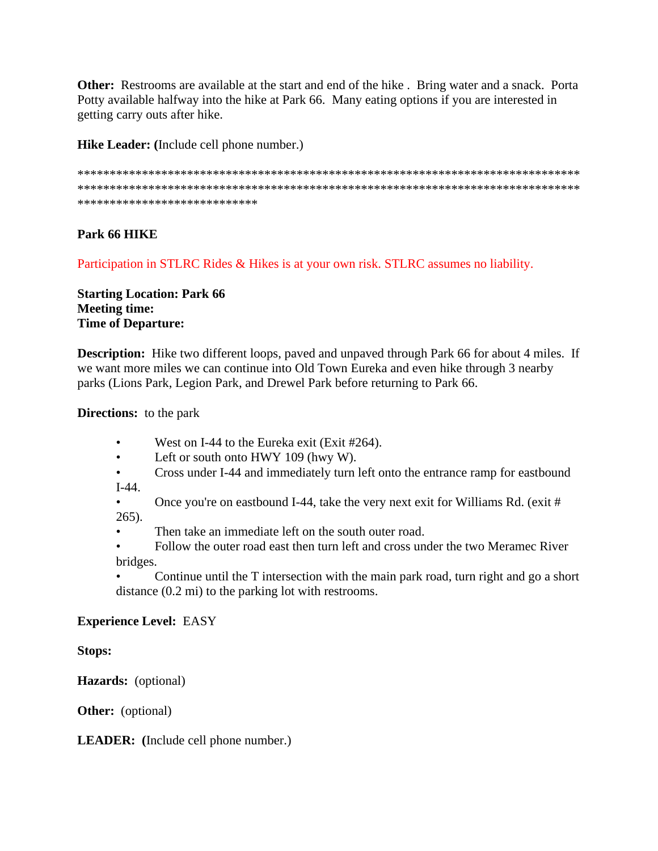**Other:** Restrooms are available at the start and end of the hike . Bring water and a snack. Porta Potty available halfway into the hike at Park 66. Many eating options if you are interested in getting carry outs after hike.

**Hike Leader: (**Include cell phone number.)

\*\*\*\*\*\*\*\*\*\*\*\*\*\*\*\*\*\*\*\*\*\*\*\*\*\*\*\*\*\*\*\*\*\*\*\*\*\*\*\*\*\*\*\*\*\*\*\*\*\*\*\*\*\*\*\*\*\*\*\*\*\*\*\*\*\*\*\*\*\*\*\*\*\*\*\*\*\* \*\*\*\*\*\*\*\*\*\*\*\*\*\*\*\*\*\*\*\*\*\*\*\*\*\*\*\*\*\*\*\*\*\*\*\*\*\*\*\*\*\*\*\*\*\*\*\*\*\*\*\*\*\*\*\*\*\*\*\*\*\*\*\*\*\*\*\*\*\*\*\*\*\*\*\*\*\* \*\*\*\*\*\*\*\*\*\*\*\*\*\*\*\*\*\*\*\*\*\*\*\*\*\*\*\*

# **Park 66 HIKE**

Participation in STLRC Rides & Hikes is at your own risk. STLRC assumes no liability.

**Starting Location: Park 66 Meeting time: Time of Departure:**

**Description:** Hike two different loops, paved and unpaved through Park 66 for about 4 miles. If we want more miles we can continue into Old Town Eureka and even hike through 3 nearby parks (Lions Park, Legion Park, and Drewel Park before returning to Park 66.

**Directions:** to the park

- West on I-44 to the Eureka exit (Exit #264).
- Left or south onto HWY 109 (hwy W).
- Cross under I-44 and immediately turn left onto the entrance ramp for eastbound I-44.

• Once you're on eastbound I-44, take the very next exit for Williams Rd. (exit # 265).

Then take an immediate left on the south outer road.

• Follow the outer road east then turn left and cross under the two Meramec River bridges.

• Continue until the T intersection with the main park road, turn right and go a short distance (0.2 mi) to the parking lot with restrooms.

## **Experience Level:** EASY

**Stops:**

**Hazards:** (optional)

**Other:** (optional)

**LEADER: (**Include cell phone number.)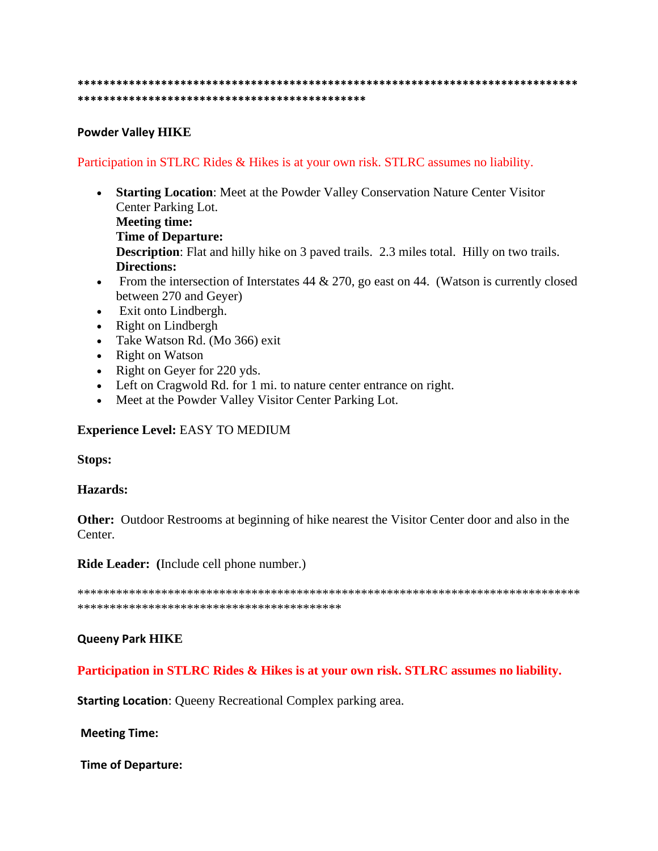#### 

## **Powder Valley HIKE**

## Participation in STLRC Rides & Hikes is at your own risk. STLRC assumes no liability.

- Starting Location: Meet at the Powder Valley Conservation Nature Center Visitor Center Parking Lot. **Meeting time: Time of Departure: Description:** Flat and hilly hike on 3 paved trails. 2.3 miles total. Hilly on two trails. **Directions:**
- From the intersection of Interstates 44 & 270, go east on 44. (Watson is currently closed between 270 and Geyer)
- Exit onto Lindbergh.
- Right on Lindbergh
- Take Watson Rd. (Mo 366) exit
- Right on Watson
- Right on Geyer for 220 yds.
- Left on Cragwold Rd. for 1 mi. to nature center entrance on right.
- Meet at the Powder Valley Visitor Center Parking Lot.

## **Experience Level: EASY TO MEDIUM**

**Stops:** 

## **Hazards:**

**Other:** Outdoor Restrooms at beginning of hike nearest the Visitor Center door and also in the Center.

Ride Leader: (Include cell phone number.)

## **Queeny Park HIKE**

Participation in STLRC Rides & Hikes is at your own risk. STLRC assumes no liability.

**Starting Location:** Queeny Recreational Complex parking area.

**Meeting Time:** 

**Time of Departure:**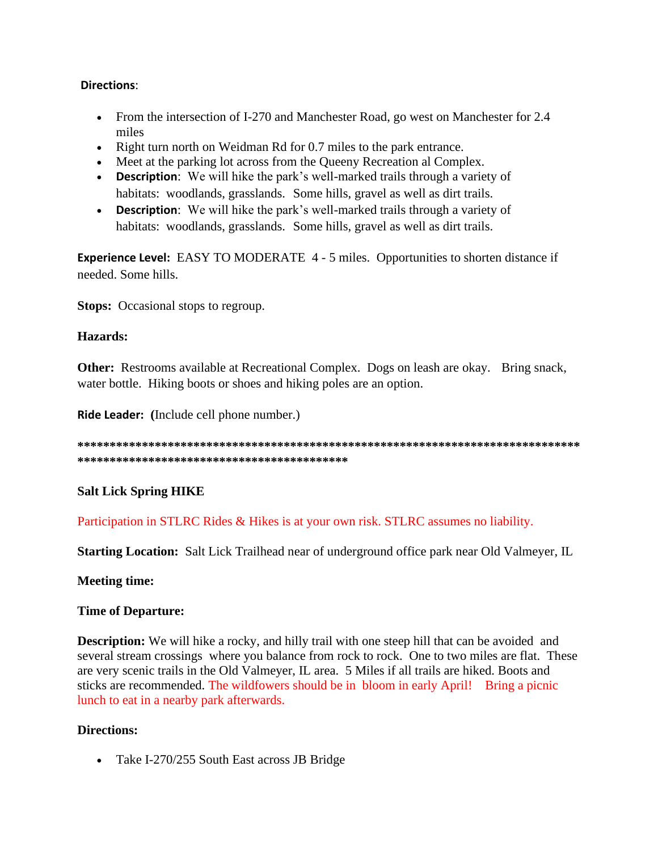## **Directions**:

- From the intersection of I-270 and Manchester Road, go west on Manchester for 2.4 miles
- Right turn north on Weidman Rd for 0.7 miles to the park entrance.
- Meet at the parking lot across from the Queeny Recreation al Complex.
- **Description**: We will hike the park's well-marked trails through a variety of habitats: woodlands, grasslands. Some hills, gravel as well as dirt trails.
- **Description**: We will hike the park's well-marked trails through a variety of habitats: woodlands, grasslands. Some hills, gravel as well as dirt trails.

**Experience Level:** EASY TO MODERATE 4 - 5 miles. Opportunities to shorten distance if needed. Some hills.

**Stops:** Occasional stops to regroup.

## **Hazards:**

**Other:** Restrooms available at Recreational Complex. Dogs on leash are okay. Bring snack, water bottle. Hiking boots or shoes and hiking poles are an option.

**Ride Leader: (**Include cell phone number.)

**\*\*\*\*\*\*\*\*\*\*\*\*\*\*\*\*\*\*\*\*\*\*\*\*\*\*\*\*\*\*\*\*\*\*\*\*\*\*\*\*\*\*\*\*\*\*\*\*\*\*\*\*\*\*\*\*\*\*\*\*\*\*\*\*\*\*\*\*\*\*\*\*\*\*\*\*\*\* \*\*\*\*\*\*\*\*\*\*\*\*\*\*\*\*\*\*\*\*\*\*\*\*\*\*\*\*\*\*\*\*\*\*\*\*\*\*\*\*\*\***

# **Salt Lick Spring HIKE**

Participation in STLRC Rides & Hikes is at your own risk. STLRC assumes no liability.

**Starting Location:** Salt Lick Trailhead near of underground office park near Old Valmeyer, IL

## **Meeting time:**

## **Time of Departure:**

**Description:** We will hike a rocky, and hilly trail with one steep hill that can be avoided and several stream crossings where you balance from rock to rock. One to two miles are flat. These are very scenic trails in the Old Valmeyer, IL area. 5 Miles if all trails are hiked. Boots and sticks are recommended. The wildfowers should be in bloom in early April! Bring a picnic lunch to eat in a nearby park afterwards.

# **Directions:**

• Take I-270/255 South East across JB Bridge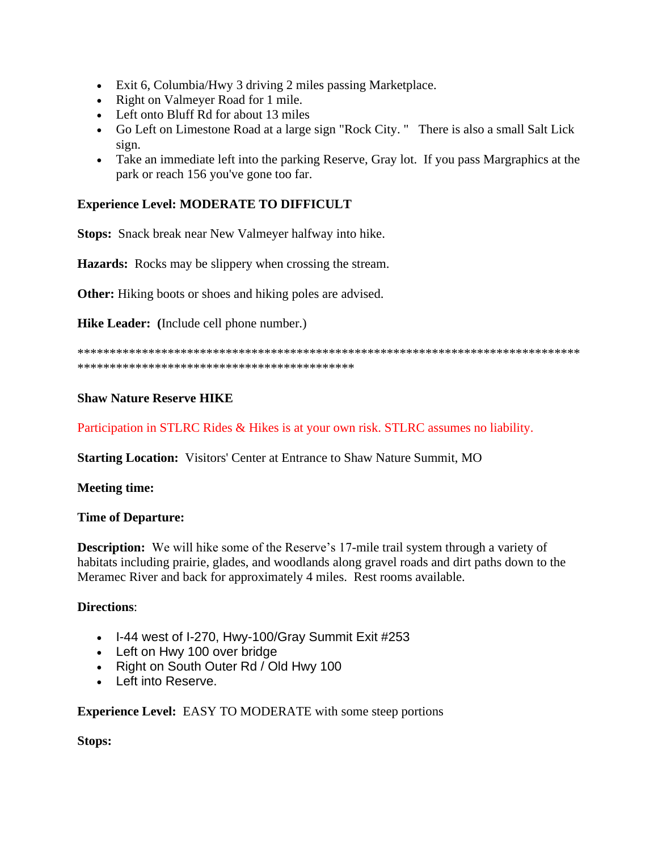- Exit 6, Columbia/Hwy 3 driving 2 miles passing Marketplace.
- Right on Valmeyer Road for 1 mile.
- Left onto Bluff Rd for about 13 miles
- Go Left on Limestone Road at a large sign "Rock City. " There is also a small Salt Lick sign.
- Take an immediate left into the parking Reserve, Gray lot. If you pass Margraphics at the park or reach 156 you've gone too far.

## **Experience Level: MODERATE TO DIFFICULT**

**Stops:** Snack break near New Valmeyer halfway into hike.

**Hazards:** Rocks may be slippery when crossing the stream.

**Other:** Hiking boots or shoes and hiking poles are advised.

**Hike Leader: (**Include cell phone number.)

\*\*\*\*\*\*\*\*\*\*\*\*\*\*\*\*\*\*\*\*\*\*\*\*\*\*\*\*\*\*\*\*\*\*\*\*\*\*\*\*\*\*\*\*\*\*\*\*\*\*\*\*\*\*\*\*\*\*\*\*\*\*\*\*\*\*\*\*\*\*\*\*\*\*\*\*\*\* \*\*\*\*\*\*\*\*\*\*\*\*\*\*\*\*\*\*\*\*\*\*\*\*\*\*\*\*\*\*\*\*\*\*\*\*\*\*\*\*\*\*\*

#### **Shaw Nature Reserve HIKE**

Participation in STLRC Rides & Hikes is at your own risk. STLRC assumes no liability.

**Starting Location:** Visitors' Center at Entrance to Shaw Nature Summit, MO

**Meeting time:**

#### **Time of Departure:**

**Description:** We will hike some of the Reserve's 17-mile trail system through a variety of habitats including prairie, glades, and woodlands along gravel roads and dirt paths down to the Meramec River and back for approximately 4 miles. Rest rooms available.

#### **Directions**:

- I-44 west of I-270, Hwy-100/Gray Summit Exit #253
- Left on Hwy 100 over bridge
- Right on South Outer Rd / Old Hwy 100
- Left into Reserve.

**Experience Level:** EASY TO MODERATE with some steep portions

**Stops:**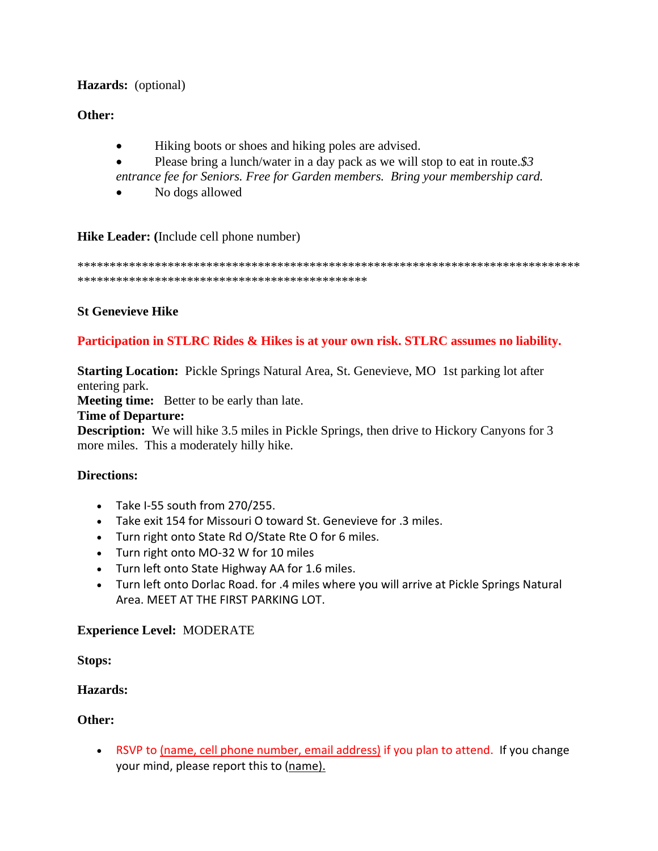# **Hazards:** (optional)

## **Other:**

- Hiking boots or shoes and hiking poles are advised.
- Please bring a lunch/water in a day pack as we will stop to eat in route.*\$3*
- *entrance fee for Seniors. Free for Garden members. Bring your membership card.*
- No dogs allowed

**Hike Leader: (**Include cell phone number)

\*\*\*\*\*\*\*\*\*\*\*\*\*\*\*\*\*\*\*\*\*\*\*\*\*\*\*\*\*\*\*\*\*\*\*\*\*\*\*\*\*\*\*\*\*\*\*\*\*\*\*\*\*\*\*\*\*\*\*\*\*\*\*\*\*\*\*\*\*\*\*\*\*\*\*\*\*\* \*\*\*\*\*\*\*\*\*\*\*\*\*\*\*\*\*\*\*\*\*\*\*\*\*\*\*\*\*\*\*\*\*\*\*\*\*\*\*\*\*\*\*\*\*

## **St Genevieve Hike**

## **Participation in STLRC Rides & Hikes is at your own risk. STLRC assumes no liability.**

**Starting Location:** Pickle Springs Natural Area, St. Genevieve, MO 1st parking lot after entering park.

**Meeting time:** Better to be early than late.

## **Time of Departure:**

**Description:** We will hike 3.5 miles in Pickle Springs, then drive to Hickory Canyons for 3 more miles. This a moderately hilly hike.

## **Directions:**

- Take I-55 south from 270/255.
- Take exit 154 for Missouri O toward St. Genevieve for .3 miles.
- Turn right onto State Rd O/State Rte O for 6 miles.
- Turn right onto MO-32 W for 10 miles
- Turn left onto State Highway AA for 1.6 miles.
- Turn left onto Dorlac Road. for .4 miles where you will arrive at Pickle Springs Natural Area. MEET AT THE FIRST PARKING LOT.

## **Experience Level:** MODERATE

**Stops:**

## **Hazards:**

## **Other:**

• RSVP to (name, cell phone number, email address) if you plan to attend. If you change your mind, please report this to (name).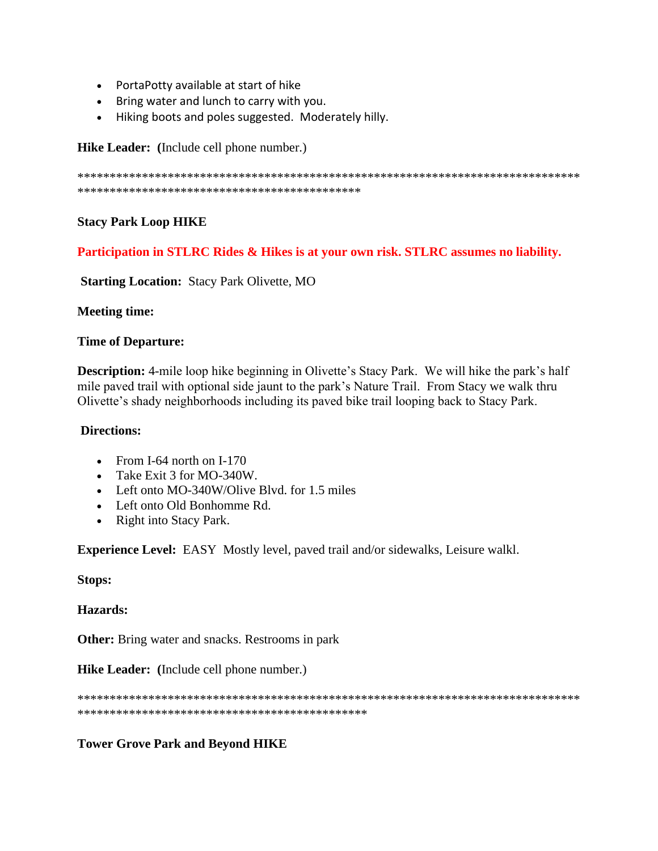- PortaPotty available at start of hike
- Bring water and lunch to carry with you.
- Hiking boots and poles suggested. Moderately hilly.

Hike Leader: (Include cell phone number.)

## **Stacy Park Loop HIKE**

Participation in STLRC Rides & Hikes is at your own risk. STLRC assumes no liability.

**Starting Location: Stacy Park Olivette, MO** 

## **Meeting time:**

## **Time of Departure:**

**Description:** 4-mile loop hike beginning in Olivette's Stacy Park. We will hike the park's half mile paved trail with optional side jaunt to the park's Nature Trail. From Stacy we walk thru Olivette's shady neighborhoods including its paved bike trail looping back to Stacy Park.

## **Directions:**

- From I-64 north on I-170
- Take Exit 3 for MO-340W.
- Left onto MO-340W/Olive Blvd. for 1.5 miles
- Left onto Old Bonhomme Rd.
- Right into Stacy Park.

**Experience Level:** EASY Mostly level, paved trail and/or sidewalks, Leisure walkl.

**Stops:** 

Hazards:

**Other:** Bring water and snacks. Restrooms in park

Hike Leader: (Include cell phone number.)

# **Tower Grove Park and Beyond HIKE**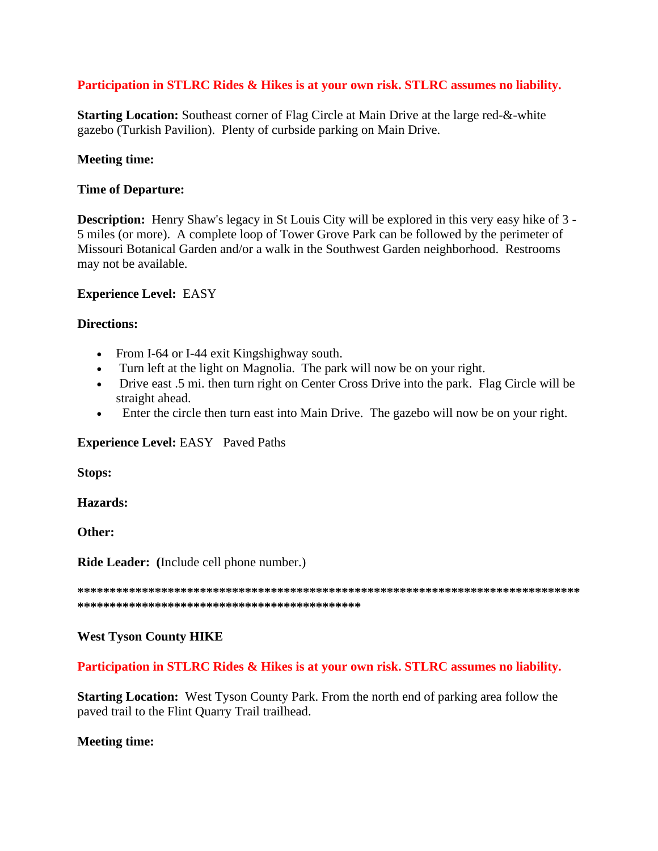## Participation in STLRC Rides & Hikes is at your own risk. STLRC assumes no liability.

**Starting Location:** Southeast corner of Flag Circle at Main Drive at the large red-&-white gazebo (Turkish Pavilion). Plenty of curbside parking on Main Drive.

#### **Meeting time:**

#### **Time of Departure:**

**Description:** Henry Shaw's legacy in St Louis City will be explored in this very easy hike of 3 -5 miles (or more). A complete loop of Tower Grove Park can be followed by the perimeter of Missouri Botanical Garden and/or a walk in the Southwest Garden neighborhood. Restrooms may not be available.

#### **Experience Level: EASY**

#### **Directions:**

- From I-64 or I-44 exit Kingshighway south.
- Turn left at the light on Magnolia. The park will now be on your right.
- Drive east .5 mi. then turn right on Center Cross Drive into the park. Flag Circle will be straight ahead.
- Enter the circle then turn east into Main Drive. The gazebo will now be on your right.  $\bullet$

#### **Experience Level: EASY** Paved Paths

**Stops:** 

Hazards:

Other:

Ride Leader: (Include cell phone number.)

## **West Tyson County HIKE**

#### Participation in STLRC Rides & Hikes is at your own risk. STLRC assumes no liability.

**Starting Location:** West Tyson County Park. From the north end of parking area follow the paved trail to the Flint Quarry Trail trailhead.

#### **Meeting time:**